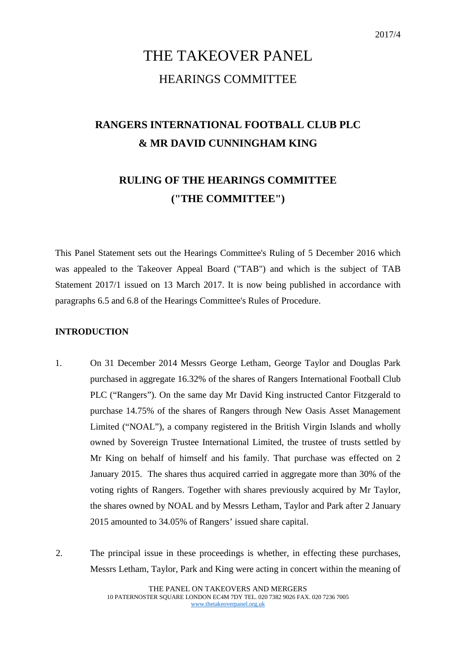# THE TAKEOVER PANEL HEARINGS COMMITTEE

## **RANGERS INTERNATIONAL FOOTBALL CLUB PLC & MR DAVID CUNNINGHAM KING**

## **RULING OF THE HEARINGS COMMITTEE ("THE COMMITTEE")**

This Panel Statement sets out the Hearings Committee's Ruling of 5 December 2016 which was appealed to the Takeover Appeal Board ("TAB") and which is the subject of TAB Statement 2017/1 issued on 13 March 2017. It is now being published in accordance with paragraphs 6.5 and 6.8 of the Hearings Committee's Rules of Procedure.

## **INTRODUCTION**

- 1. On 31 December 2014 Messrs George Letham, George Taylor and Douglas Park purchased in aggregate 16.32% of the shares of Rangers International Football Club PLC ("Rangers"). On the same day Mr David King instructed Cantor Fitzgerald to purchase 14.75% of the shares of Rangers through New Oasis Asset Management Limited ("NOAL"), a company registered in the British Virgin Islands and wholly owned by Sovereign Trustee International Limited, the trustee of trusts settled by Mr King on behalf of himself and his family. That purchase was effected on 2 January 2015. The shares thus acquired carried in aggregate more than 30% of the voting rights of Rangers. Together with shares previously acquired by Mr Taylor, the shares owned by NOAL and by Messrs Letham, Taylor and Park after 2 January 2015 amounted to 34.05% of Rangers' issued share capital.
- 2. The principal issue in these proceedings is whether, in effecting these purchases, Messrs Letham, Taylor, Park and King were acting in concert within the meaning of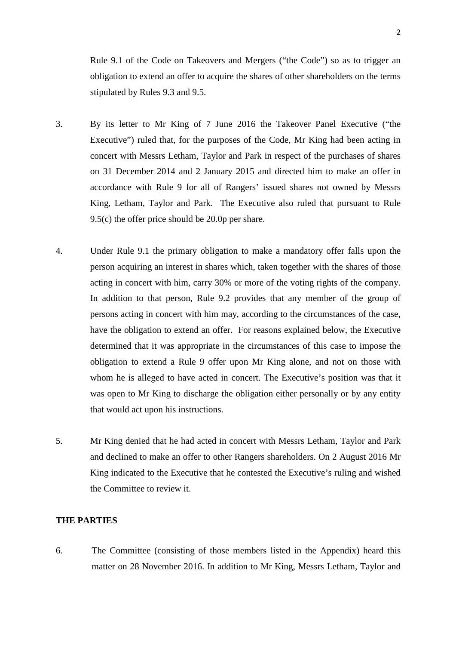Rule 9.1 of the Code on Takeovers and Mergers ("the Code") so as to trigger an obligation to extend an offer to acquire the shares of other shareholders on the terms stipulated by Rules 9.3 and 9.5.

- 3. By its letter to Mr King of 7 June 2016 the Takeover Panel Executive ("the Executive") ruled that, for the purposes of the Code, Mr King had been acting in concert with Messrs Letham, Taylor and Park in respect of the purchases of shares on 31 December 2014 and 2 January 2015 and directed him to make an offer in accordance with Rule 9 for all of Rangers' issued shares not owned by Messrs King, Letham, Taylor and Park. The Executive also ruled that pursuant to Rule 9.5(c) the offer price should be 20.0p per share.
- 4. Under Rule 9.1 the primary obligation to make a mandatory offer falls upon the person acquiring an interest in shares which, taken together with the shares of those acting in concert with him, carry 30% or more of the voting rights of the company. In addition to that person, Rule 9.2 provides that any member of the group of persons acting in concert with him may, according to the circumstances of the case, have the obligation to extend an offer. For reasons explained below, the Executive determined that it was appropriate in the circumstances of this case to impose the obligation to extend a Rule 9 offer upon Mr King alone, and not on those with whom he is alleged to have acted in concert. The Executive's position was that it was open to Mr King to discharge the obligation either personally or by any entity that would act upon his instructions.
- 5. Mr King denied that he had acted in concert with Messrs Letham, Taylor and Park and declined to make an offer to other Rangers shareholders. On 2 August 2016 Mr King indicated to the Executive that he contested the Executive's ruling and wished the Committee to review it.

#### **THE PARTIES**

6. The Committee (consisting of those members listed in the Appendix) heard this matter on 28 November 2016. In addition to Mr King, Messrs Letham, Taylor and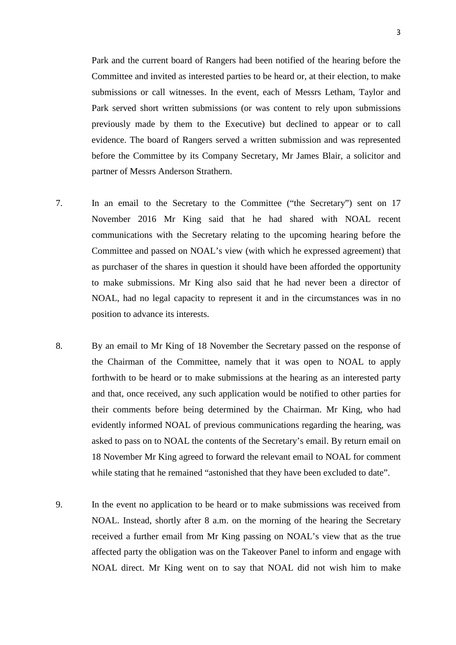Park and the current board of Rangers had been notified of the hearing before the Committee and invited as interested parties to be heard or, at their election, to make submissions or call witnesses. In the event, each of Messrs Letham, Taylor and Park served short written submissions (or was content to rely upon submissions previously made by them to the Executive) but declined to appear or to call evidence. The board of Rangers served a written submission and was represented before the Committee by its Company Secretary, Mr James Blair, a solicitor and partner of Messrs Anderson Strathern.

- 7. In an email to the Secretary to the Committee ("the Secretary") sent on 17 November 2016 Mr King said that he had shared with NOAL recent communications with the Secretary relating to the upcoming hearing before the Committee and passed on NOAL's view (with which he expressed agreement) that as purchaser of the shares in question it should have been afforded the opportunity to make submissions. Mr King also said that he had never been a director of NOAL, had no legal capacity to represent it and in the circumstances was in no position to advance its interests.
- 8. By an email to Mr King of 18 November the Secretary passed on the response of the Chairman of the Committee, namely that it was open to NOAL to apply forthwith to be heard or to make submissions at the hearing as an interested party and that, once received, any such application would be notified to other parties for their comments before being determined by the Chairman. Mr King, who had evidently informed NOAL of previous communications regarding the hearing, was asked to pass on to NOAL the contents of the Secretary's email. By return email on 18 November Mr King agreed to forward the relevant email to NOAL for comment while stating that he remained "astonished that they have been excluded to date".
- 9. In the event no application to be heard or to make submissions was received from NOAL. Instead, shortly after 8 a.m. on the morning of the hearing the Secretary received a further email from Mr King passing on NOAL's view that as the true affected party the obligation was on the Takeover Panel to inform and engage with NOAL direct. Mr King went on to say that NOAL did not wish him to make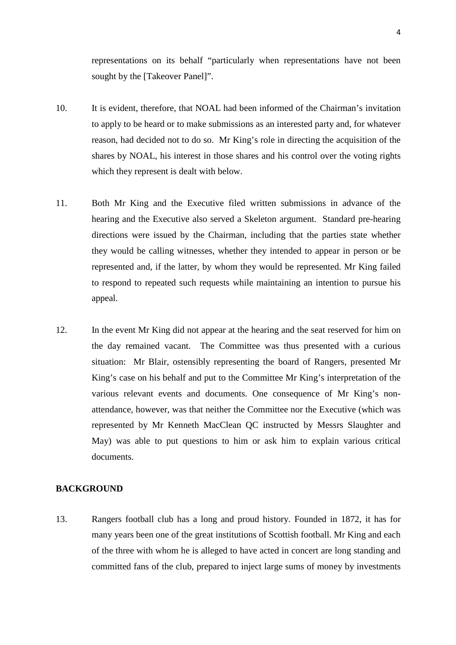representations on its behalf "particularly when representations have not been sought by the [Takeover Panel]".

- 10. It is evident, therefore, that NOAL had been informed of the Chairman's invitation to apply to be heard or to make submissions as an interested party and, for whatever reason, had decided not to do so. Mr King's role in directing the acquisition of the shares by NOAL, his interest in those shares and his control over the voting rights which they represent is dealt with below.
- 11. Both Mr King and the Executive filed written submissions in advance of the hearing and the Executive also served a Skeleton argument. Standard pre-hearing directions were issued by the Chairman, including that the parties state whether they would be calling witnesses, whether they intended to appear in person or be represented and, if the latter, by whom they would be represented. Mr King failed to respond to repeated such requests while maintaining an intention to pursue his appeal.
- 12. In the event Mr King did not appear at the hearing and the seat reserved for him on the day remained vacant. The Committee was thus presented with a curious situation: Mr Blair, ostensibly representing the board of Rangers, presented Mr King's case on his behalf and put to the Committee Mr King's interpretation of the various relevant events and documents. One consequence of Mr King's nonattendance, however, was that neither the Committee nor the Executive (which was represented by Mr Kenneth MacClean QC instructed by Messrs Slaughter and May) was able to put questions to him or ask him to explain various critical documents.

#### **BACKGROUND**

13. Rangers football club has a long and proud history. Founded in 1872, it has for many years been one of the great institutions of Scottish football. Mr King and each of the three with whom he is alleged to have acted in concert are long standing and committed fans of the club, prepared to inject large sums of money by investments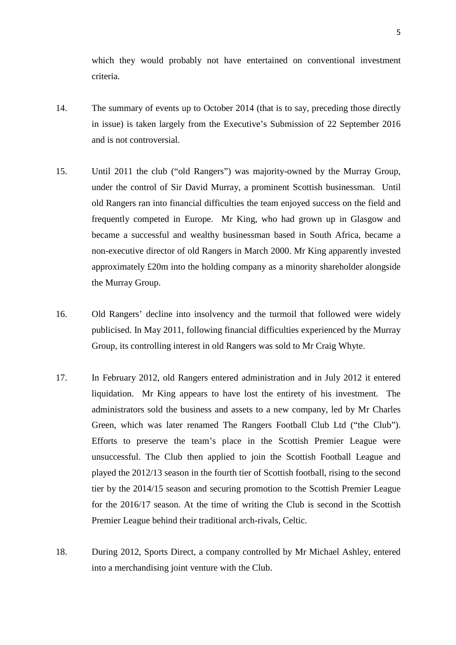which they would probably not have entertained on conventional investment criteria.

- 14. The summary of events up to October 2014 (that is to say, preceding those directly in issue) is taken largely from the Executive's Submission of 22 September 2016 and is not controversial.
- 15. Until 2011 the club ("old Rangers") was majority-owned by the Murray Group, under the control of Sir David Murray, a prominent Scottish businessman. Until old Rangers ran into financial difficulties the team enjoyed success on the field and frequently competed in Europe. Mr King, who had grown up in Glasgow and became a successful and wealthy businessman based in South Africa, became a non-executive director of old Rangers in March 2000. Mr King apparently invested approximately £20m into the holding company as a minority shareholder alongside the Murray Group.
- 16. Old Rangers' decline into insolvency and the turmoil that followed were widely publicised. In May 2011, following financial difficulties experienced by the Murray Group, its controlling interest in old Rangers was sold to Mr Craig Whyte.
- 17. In February 2012, old Rangers entered administration and in July 2012 it entered liquidation. Mr King appears to have lost the entirety of his investment. The administrators sold the business and assets to a new company, led by Mr Charles Green, which was later renamed The Rangers Football Club Ltd ("the Club"). Efforts to preserve the team's place in the Scottish Premier League were unsuccessful. The Club then applied to join the Scottish Football League and played the 2012/13 season in the fourth tier of Scottish football, rising to the second tier by the 2014/15 season and securing promotion to the Scottish Premier League for the 2016/17 season. At the time of writing the Club is second in the Scottish Premier League behind their traditional arch-rivals, Celtic.
- 18. During 2012, Sports Direct, a company controlled by Mr Michael Ashley, entered into a merchandising joint venture with the Club.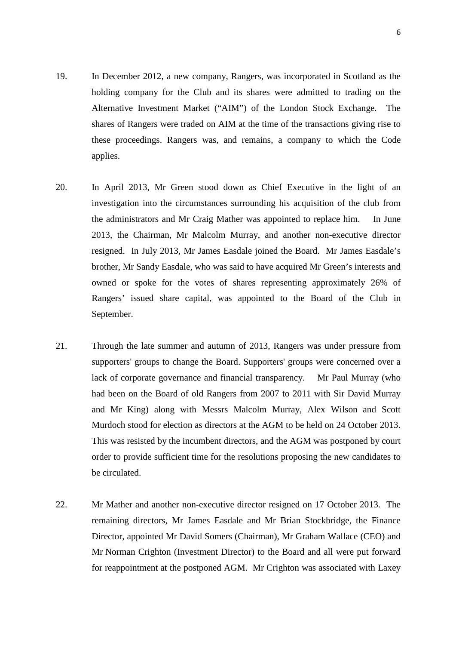- 19. In December 2012, a new company, Rangers, was incorporated in Scotland as the holding company for the Club and its shares were admitted to trading on the Alternative Investment Market ("AIM") of the London Stock Exchange. The shares of Rangers were traded on AIM at the time of the transactions giving rise to these proceedings. Rangers was, and remains, a company to which the Code applies.
- 20. In April 2013, Mr Green stood down as Chief Executive in the light of an investigation into the circumstances surrounding his acquisition of the club from the administrators and Mr Craig Mather was appointed to replace him. In June 2013, the Chairman, Mr Malcolm Murray, and another non-executive director resigned. In July 2013, Mr James Easdale joined the Board. Mr James Easdale's brother, Mr Sandy Easdale, who was said to have acquired Mr Green's interests and owned or spoke for the votes of shares representing approximately 26% of Rangers' issued share capital, was appointed to the Board of the Club in September.
- 21. Through the late summer and autumn of 2013, Rangers was under pressure from supporters' groups to change the Board. Supporters' groups were concerned over a lack of corporate governance and financial transparency. Mr Paul Murray (who had been on the Board of old Rangers from 2007 to 2011 with Sir David Murray and Mr King) along with Messrs Malcolm Murray, Alex Wilson and Scott Murdoch stood for election as directors at the AGM to be held on 24 October 2013. This was resisted by the incumbent directors, and the AGM was postponed by court order to provide sufficient time for the resolutions proposing the new candidates to be circulated.
- 22. Mr Mather and another non-executive director resigned on 17 October 2013. The remaining directors, Mr James Easdale and Mr Brian Stockbridge, the Finance Director, appointed Mr David Somers (Chairman), Mr Graham Wallace (CEO) and Mr Norman Crighton (Investment Director) to the Board and all were put forward for reappointment at the postponed AGM. Mr Crighton was associated with Laxey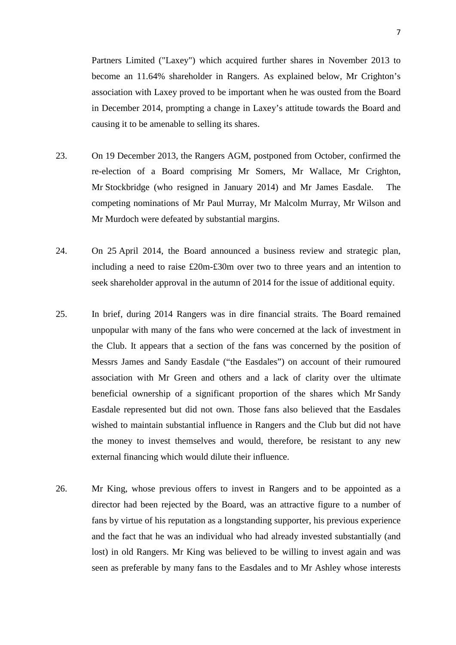Partners Limited ("Laxey") which acquired further shares in November 2013 to become an 11.64% shareholder in Rangers. As explained below, Mr Crighton's association with Laxey proved to be important when he was ousted from the Board in December 2014, prompting a change in Laxey's attitude towards the Board and causing it to be amenable to selling its shares.

- 23. On 19 December 2013, the Rangers AGM, postponed from October, confirmed the re-election of a Board comprising Mr Somers, Mr Wallace, Mr Crighton, Mr Stockbridge (who resigned in January 2014) and Mr James Easdale. The competing nominations of Mr Paul Murray, Mr Malcolm Murray, Mr Wilson and Mr Murdoch were defeated by substantial margins.
- 24. On 25 April 2014, the Board announced a business review and strategic plan, including a need to raise £20m-£30m over two to three years and an intention to seek shareholder approval in the autumn of 2014 for the issue of additional equity.
- 25. In brief, during 2014 Rangers was in dire financial straits. The Board remained unpopular with many of the fans who were concerned at the lack of investment in the Club. It appears that a section of the fans was concerned by the position of Messrs James and Sandy Easdale ("the Easdales") on account of their rumoured association with Mr Green and others and a lack of clarity over the ultimate beneficial ownership of a significant proportion of the shares which Mr Sandy Easdale represented but did not own. Those fans also believed that the Easdales wished to maintain substantial influence in Rangers and the Club but did not have the money to invest themselves and would, therefore, be resistant to any new external financing which would dilute their influence.
- 26. Mr King, whose previous offers to invest in Rangers and to be appointed as a director had been rejected by the Board, was an attractive figure to a number of fans by virtue of his reputation as a longstanding supporter, his previous experience and the fact that he was an individual who had already invested substantially (and lost) in old Rangers. Mr King was believed to be willing to invest again and was seen as preferable by many fans to the Easdales and to Mr Ashley whose interests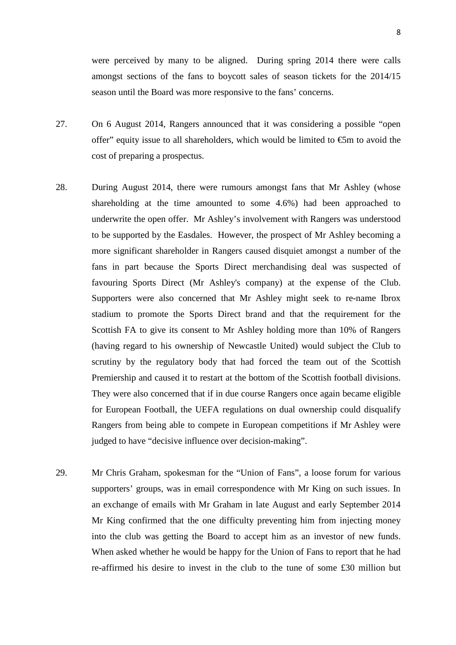were perceived by many to be aligned. During spring 2014 there were calls amongst sections of the fans to boycott sales of season tickets for the 2014/15 season until the Board was more responsive to the fans' concerns.

- 27. On 6 August 2014, Rangers announced that it was considering a possible "open offer" equity issue to all shareholders, which would be limited to  $\mathfrak{S}$ m to avoid the cost of preparing a prospectus.
- 28. During August 2014, there were rumours amongst fans that Mr Ashley (whose shareholding at the time amounted to some 4.6%) had been approached to underwrite the open offer. Mr Ashley's involvement with Rangers was understood to be supported by the Easdales. However, the prospect of Mr Ashley becoming a more significant shareholder in Rangers caused disquiet amongst a number of the fans in part because the Sports Direct merchandising deal was suspected of favouring Sports Direct (Mr Ashley's company) at the expense of the Club. Supporters were also concerned that Mr Ashley might seek to re-name Ibrox stadium to promote the Sports Direct brand and that the requirement for the Scottish FA to give its consent to Mr Ashley holding more than 10% of Rangers (having regard to his ownership of Newcastle United) would subject the Club to scrutiny by the regulatory body that had forced the team out of the Scottish Premiership and caused it to restart at the bottom of the Scottish football divisions. They were also concerned that if in due course Rangers once again became eligible for European Football, the UEFA regulations on dual ownership could disqualify Rangers from being able to compete in European competitions if Mr Ashley were judged to have "decisive influence over decision-making".
- 29. Mr Chris Graham, spokesman for the "Union of Fans", a loose forum for various supporters' groups, was in email correspondence with Mr King on such issues. In an exchange of emails with Mr Graham in late August and early September 2014 Mr King confirmed that the one difficulty preventing him from injecting money into the club was getting the Board to accept him as an investor of new funds. When asked whether he would be happy for the Union of Fans to report that he had re-affirmed his desire to invest in the club to the tune of some £30 million but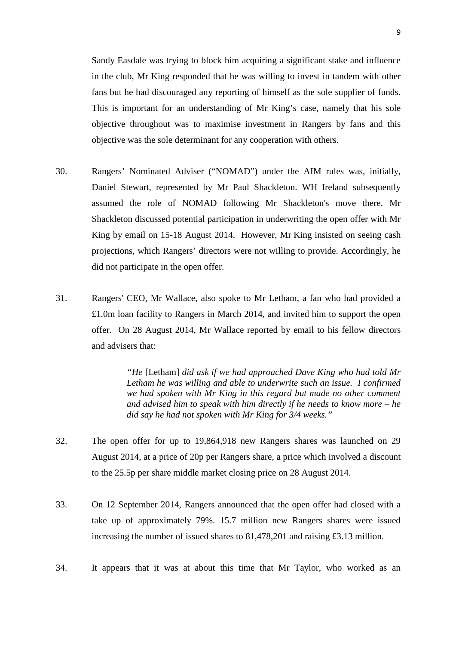Sandy Easdale was trying to block him acquiring a significant stake and influence in the club, Mr King responded that he was willing to invest in tandem with other fans but he had discouraged any reporting of himself as the sole supplier of funds. This is important for an understanding of Mr King's case, namely that his sole objective throughout was to maximise investment in Rangers by fans and this objective was the sole determinant for any cooperation with others.

- 30. Rangers' Nominated Adviser ("NOMAD") under the AIM rules was, initially, Daniel Stewart, represented by Mr Paul Shackleton. WH Ireland subsequently assumed the role of NOMAD following Mr Shackleton's move there. Mr Shackleton discussed potential participation in underwriting the open offer with Mr King by email on 15-18 August 2014. However, Mr King insisted on seeing cash projections, which Rangers' directors were not willing to provide. Accordingly, he did not participate in the open offer.
- 31. Rangers' CEO, Mr Wallace, also spoke to Mr Letham, a fan who had provided a £1.0m loan facility to Rangers in March 2014, and invited him to support the open offer. On 28 August 2014, Mr Wallace reported by email to his fellow directors and advisers that:

*"He* [Letham] *did ask if we had approached Dave King who had told Mr Letham he was willing and able to underwrite such an issue. I confirmed we had spoken with Mr King in this regard but made no other comment and advised him to speak with him directly if he needs to know more – he did say he had not spoken with Mr King for 3/4 weeks."*

- 32. The open offer for up to 19,864,918 new Rangers shares was launched on 29 August 2014, at a price of 20p per Rangers share, a price which involved a discount to the 25.5p per share middle market closing price on 28 August 2014.
- 33. On 12 September 2014, Rangers announced that the open offer had closed with a take up of approximately 79%. 15.7 million new Rangers shares were issued increasing the number of issued shares to 81,478,201 and raising £3.13 million.
- 34. It appears that it was at about this time that Mr Taylor, who worked as an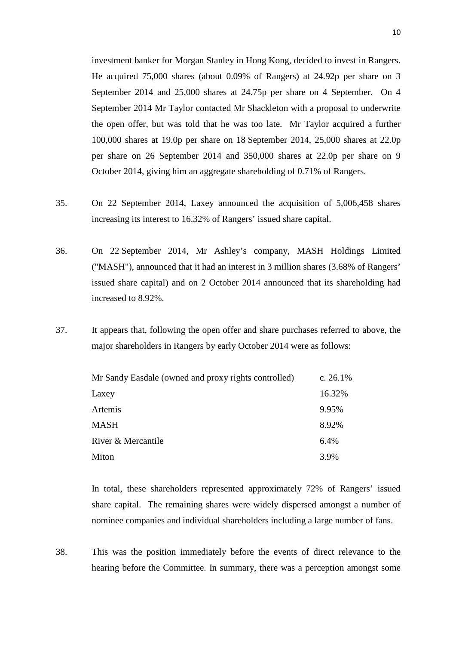investment banker for Morgan Stanley in Hong Kong, decided to invest in Rangers. He acquired 75,000 shares (about 0.09% of Rangers) at 24.92p per share on 3 September 2014 and 25,000 shares at 24.75p per share on 4 September. On 4 September 2014 Mr Taylor contacted Mr Shackleton with a proposal to underwrite the open offer, but was told that he was too late. Mr Taylor acquired a further 100,000 shares at 19.0p per share on 18 September 2014, 25,000 shares at 22.0p per share on 26 September 2014 and 350,000 shares at 22.0p per share on 9 October 2014, giving him an aggregate shareholding of 0.71% of Rangers.

- 35. On 22 September 2014, Laxey announced the acquisition of 5,006,458 shares increasing its interest to 16.32% of Rangers' issued share capital.
- 36. On 22 September 2014, Mr Ashley's company, MASH Holdings Limited ("MASH"), announced that it had an interest in 3 million shares (3.68% of Rangers' issued share capital) and on 2 October 2014 announced that its shareholding had increased to 8.92%.
- 37. It appears that, following the open offer and share purchases referred to above, the major shareholders in Rangers by early October 2014 were as follows:

| Mr Sandy Easdale (owned and proxy rights controlled) | c. $26.1%$ |
|------------------------------------------------------|------------|
| Laxey                                                | 16.32%     |
| Artemis                                              | 9.95%      |
| <b>MASH</b>                                          | 8.92%      |
| River & Mercantile                                   | 6.4%       |
| Miton                                                | 3.9%       |

In total, these shareholders represented approximately 72% of Rangers' issued share capital. The remaining shares were widely dispersed amongst a number of nominee companies and individual shareholders including a large number of fans.

38. This was the position immediately before the events of direct relevance to the hearing before the Committee. In summary, there was a perception amongst some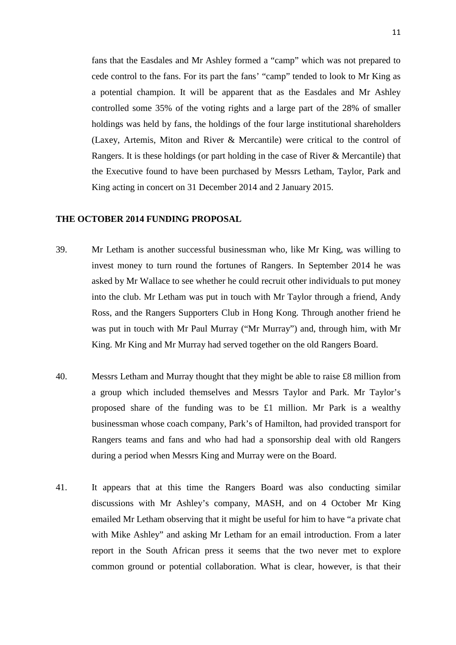fans that the Easdales and Mr Ashley formed a "camp" which was not prepared to cede control to the fans. For its part the fans' "camp" tended to look to Mr King as a potential champion. It will be apparent that as the Easdales and Mr Ashley controlled some 35% of the voting rights and a large part of the 28% of smaller holdings was held by fans, the holdings of the four large institutional shareholders (Laxey, Artemis, Miton and River & Mercantile) were critical to the control of Rangers. It is these holdings (or part holding in the case of River & Mercantile) that the Executive found to have been purchased by Messrs Letham, Taylor, Park and King acting in concert on 31 December 2014 and 2 January 2015.

#### **THE OCTOBER 2014 FUNDING PROPOSAL**

- 39. Mr Letham is another successful businessman who, like Mr King, was willing to invest money to turn round the fortunes of Rangers. In September 2014 he was asked by Mr Wallace to see whether he could recruit other individuals to put money into the club. Mr Letham was put in touch with Mr Taylor through a friend, Andy Ross, and the Rangers Supporters Club in Hong Kong. Through another friend he was put in touch with Mr Paul Murray ("Mr Murray") and, through him, with Mr King. Mr King and Mr Murray had served together on the old Rangers Board.
- 40. Messrs Letham and Murray thought that they might be able to raise £8 million from a group which included themselves and Messrs Taylor and Park. Mr Taylor's proposed share of the funding was to be £1 million. Mr Park is a wealthy businessman whose coach company, Park's of Hamilton, had provided transport for Rangers teams and fans and who had had a sponsorship deal with old Rangers during a period when Messrs King and Murray were on the Board.
- 41. It appears that at this time the Rangers Board was also conducting similar discussions with Mr Ashley's company, MASH, and on 4 October Mr King emailed Mr Letham observing that it might be useful for him to have "a private chat with Mike Ashley" and asking Mr Letham for an email introduction. From a later report in the South African press it seems that the two never met to explore common ground or potential collaboration. What is clear, however, is that their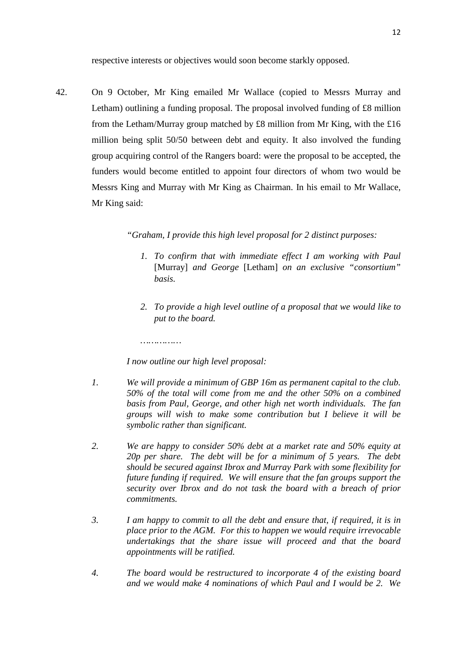respective interests or objectives would soon become starkly opposed.

42. On 9 October, Mr King emailed Mr Wallace (copied to Messrs Murray and Letham) outlining a funding proposal. The proposal involved funding of £8 million from the Letham/Murray group matched by £8 million from Mr King, with the £16 million being split 50/50 between debt and equity. It also involved the funding group acquiring control of the Rangers board: were the proposal to be accepted, the funders would become entitled to appoint four directors of whom two would be Messrs King and Murray with Mr King as Chairman. In his email to Mr Wallace, Mr King said:

*"Graham, I provide this high level proposal for 2 distinct purposes:*

- *1. To confirm that with immediate effect I am working with Paul*  [Murray] *and George* [Letham] *on an exclusive "consortium" basis.*
- *2. To provide a high level outline of a proposal that we would like to put to the board.*

*I now outline our high level proposal:*

*……………*

- *1. We will provide a minimum of GBP 16m as permanent capital to the club. 50% of the total will come from me and the other 50% on a combined basis from Paul, George, and other high net worth individuals. The fan groups will wish to make some contribution but I believe it will be symbolic rather than significant.*
- *2. We are happy to consider 50% debt at a market rate and 50% equity at 20p per share. The debt will be for a minimum of 5 years. The debt should be secured against Ibrox and Murray Park with some flexibility for future funding if required. We will ensure that the fan groups support the security over Ibrox and do not task the board with a breach of prior commitments.*
- *3. I am happy to commit to all the debt and ensure that, if required, it is in place prior to the AGM. For this to happen we would require irrevocable undertakings that the share issue will proceed and that the board appointments will be ratified.*
- *4. The board would be restructured to incorporate 4 of the existing board and we would make 4 nominations of which Paul and I would be 2. We*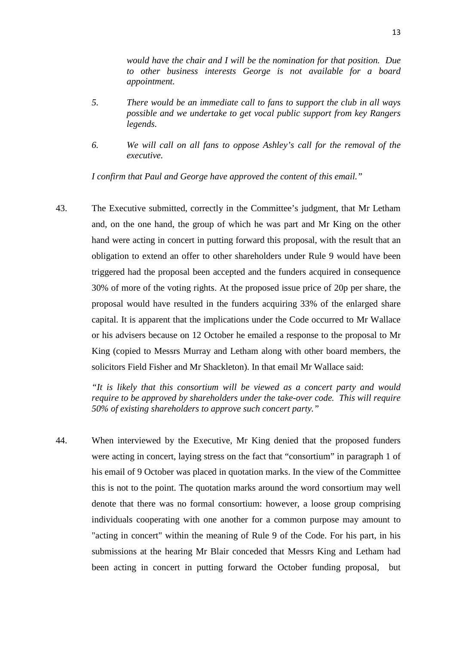*would have the chair and I will be the nomination for that position. Due to other business interests George is not available for a board appointment.*

- *5. There would be an immediate call to fans to support the club in all ways possible and we undertake to get vocal public support from key Rangers legends.*
- *6. We will call on all fans to oppose Ashley's call for the removal of the executive.*

*I confirm that Paul and George have approved the content of this email."*

43. The Executive submitted, correctly in the Committee's judgment, that Mr Letham and, on the one hand, the group of which he was part and Mr King on the other hand were acting in concert in putting forward this proposal, with the result that an obligation to extend an offer to other shareholders under Rule 9 would have been triggered had the proposal been accepted and the funders acquired in consequence 30% of more of the voting rights. At the proposed issue price of 20p per share, the proposal would have resulted in the funders acquiring 33% of the enlarged share capital. It is apparent that the implications under the Code occurred to Mr Wallace or his advisers because on 12 October he emailed a response to the proposal to Mr King (copied to Messrs Murray and Letham along with other board members, the solicitors Field Fisher and Mr Shackleton). In that email Mr Wallace said:

> *"It is likely that this consortium will be viewed as a concert party and would require to be approved by shareholders under the take-over code. This will require 50% of existing shareholders to approve such concert party."*

44. When interviewed by the Executive, Mr King denied that the proposed funders were acting in concert, laying stress on the fact that "consortium" in paragraph 1 of his email of 9 October was placed in quotation marks. In the view of the Committee this is not to the point. The quotation marks around the word consortium may well denote that there was no formal consortium: however, a loose group comprising individuals cooperating with one another for a common purpose may amount to "acting in concert" within the meaning of Rule 9 of the Code. For his part, in his submissions at the hearing Mr Blair conceded that Messrs King and Letham had been acting in concert in putting forward the October funding proposal, but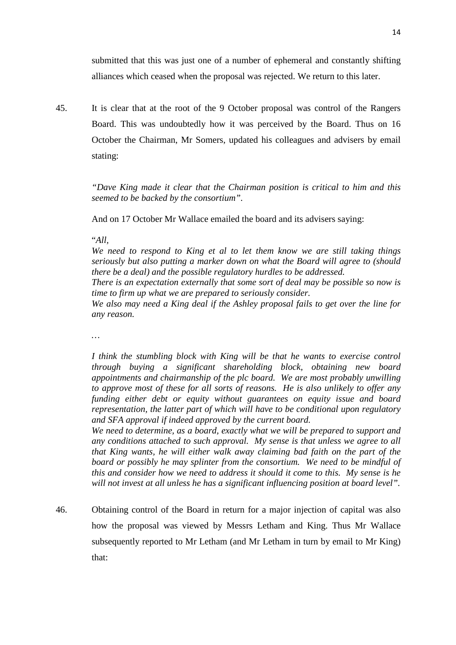submitted that this was just one of a number of ephemeral and constantly shifting alliances which ceased when the proposal was rejected. We return to this later.

45. It is clear that at the root of the 9 October proposal was control of the Rangers Board. This was undoubtedly how it was perceived by the Board. Thus on 16 October the Chairman, Mr Somers, updated his colleagues and advisers by email stating:

> *"Dave King made it clear that the Chairman position is critical to him and this seemed to be backed by the consortium".*

And on 17 October Mr Wallace emailed the board and its advisers saying:

#### "*All,*

*We need to respond to King et al to let them know we are still taking things seriously but also putting a marker down on what the Board will agree to (should there be a deal) and the possible regulatory hurdles to be addressed.*

*There is an expectation externally that some sort of deal may be possible so now is time to firm up what we are prepared to seriously consider.*

*We also may need a King deal if the Ashley proposal fails to get over the line for any reason.*

*…*

*I think the stumbling block with King will be that he wants to exercise control through buying a significant shareholding block, obtaining new board appointments and chairmanship of the plc board. We are most probably unwilling to approve most of these for all sorts of reasons. He is also unlikely to offer any funding either debt or equity without guarantees on equity issue and board representation, the latter part of which will have to be conditional upon regulatory and SFA approval if indeed approved by the current board.*

*We need to determine, as a board, exactly what we will be prepared to support and any conditions attached to such approval. My sense is that unless we agree to all that King wants, he will either walk away claiming bad faith on the part of the board or possibly he may splinter from the consortium. We need to be mindful of this and consider how we need to address it should it come to this. My sense is he will not invest at all unless he has a significant influencing position at board level".*

46. Obtaining control of the Board in return for a major injection of capital was also how the proposal was viewed by Messrs Letham and King. Thus Mr Wallace subsequently reported to Mr Letham (and Mr Letham in turn by email to Mr King) that: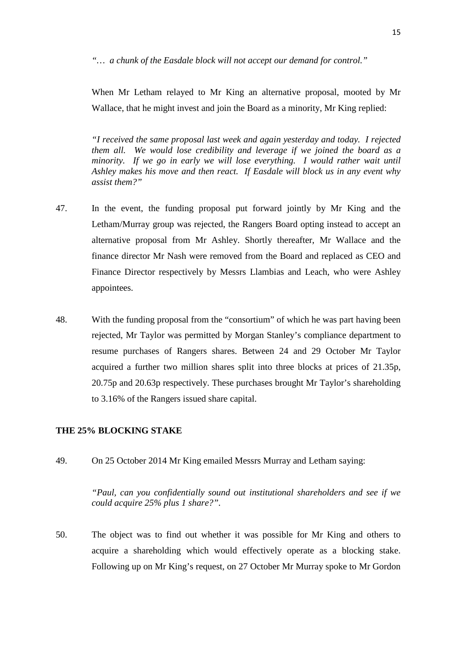*"… a chunk of the Easdale block will not accept our demand for control."*

When Mr Letham relayed to Mr King an alternative proposal, mooted by Mr Wallace, that he might invest and join the Board as a minority, Mr King replied:

*"I received the same proposal last week and again yesterday and today. I rejected them all. We would lose credibility and leverage if we joined the board as a minority.* If we go in early we will lose everything. I would rather wait until *Ashley makes his move and then react. If Easdale will block us in any event why assist them?"*

- 47. In the event, the funding proposal put forward jointly by Mr King and the Letham/Murray group was rejected, the Rangers Board opting instead to accept an alternative proposal from Mr Ashley. Shortly thereafter, Mr Wallace and the finance director Mr Nash were removed from the Board and replaced as CEO and Finance Director respectively by Messrs Llambias and Leach, who were Ashley appointees.
- 48. With the funding proposal from the "consortium" of which he was part having been rejected, Mr Taylor was permitted by Morgan Stanley's compliance department to resume purchases of Rangers shares. Between 24 and 29 October Mr Taylor acquired a further two million shares split into three blocks at prices of 21.35p, 20.75p and 20.63p respectively. These purchases brought Mr Taylor's shareholding to 3.16% of the Rangers issued share capital.

#### **THE 25% BLOCKING STAKE**

49. On 25 October 2014 Mr King emailed Messrs Murray and Letham saying:

*"Paul, can you confidentially sound out institutional shareholders and see if we could acquire 25% plus 1 share?".*

50. The object was to find out whether it was possible for Mr King and others to acquire a shareholding which would effectively operate as a blocking stake. Following up on Mr King's request, on 27 October Mr Murray spoke to Mr Gordon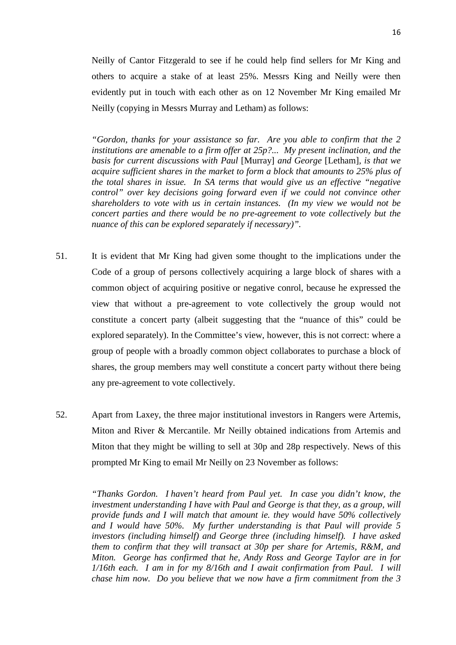Neilly of Cantor Fitzgerald to see if he could help find sellers for Mr King and others to acquire a stake of at least 25%. Messrs King and Neilly were then evidently put in touch with each other as on 12 November Mr King emailed Mr Neilly (copying in Messrs Murray and Letham) as follows:

*"Gordon, thanks for your assistance so far. Are you able to confirm that the 2 institutions are amenable to a firm offer at 25p?... My present inclination, and the basis for current discussions with Paul* [Murray] *and George* [Letham]*, is that we acquire sufficient shares in the market to form a block that amounts to 25% plus of the total shares in issue. In SA terms that would give us an effective "negative control" over key decisions going forward even if we could not convince other shareholders to vote with us in certain instances. (In my view we would not be concert parties and there would be no pre-agreement to vote collectively but the nuance of this can be explored separately if necessary)".*

- 51. It is evident that Mr King had given some thought to the implications under the Code of a group of persons collectively acquiring a large block of shares with a common object of acquiring positive or negative conrol, because he expressed the view that without a pre-agreement to vote collectively the group would not constitute a concert party (albeit suggesting that the "nuance of this" could be explored separately). In the Committee's view, however, this is not correct: where a group of people with a broadly common object collaborates to purchase a block of shares, the group members may well constitute a concert party without there being any pre-agreement to vote collectively.
- 52. Apart from Laxey, the three major institutional investors in Rangers were Artemis, Miton and River & Mercantile. Mr Neilly obtained indications from Artemis and Miton that they might be willing to sell at 30p and 28p respectively. News of this prompted Mr King to email Mr Neilly on 23 November as follows:

*"Thanks Gordon. I haven't heard from Paul yet. In case you didn't know, the investment understanding I have with Paul and George is that they, as a group, will provide funds and I will match that amount ie. they would have 50% collectively and I would have 50%. My further understanding is that Paul will provide 5 investors (including himself) and George three (including himself). I have asked them to confirm that they will transact at 30p per share for Artemis, R&M, and Miton. George has confirmed that he, Andy Ross and George Taylor are in for 1/16th each. I am in for my 8/16th and I await confirmation from Paul. I will chase him now. Do you believe that we now have a firm commitment from the 3*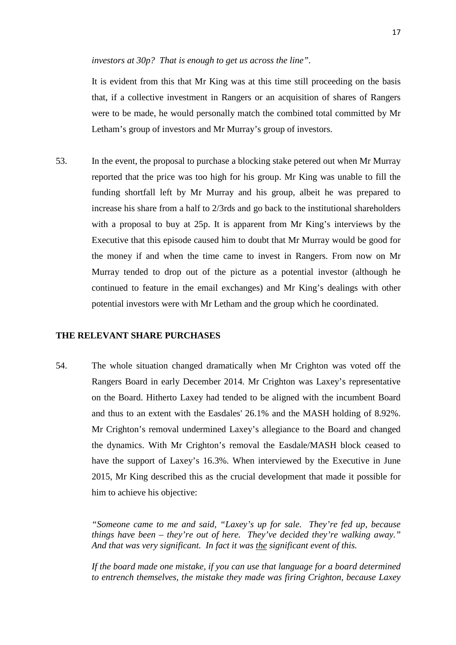#### *investors at 30p? That is enough to get us across the line".*

It is evident from this that Mr King was at this time still proceeding on the basis that, if a collective investment in Rangers or an acquisition of shares of Rangers were to be made, he would personally match the combined total committed by Mr Letham's group of investors and Mr Murray's group of investors.

53. In the event, the proposal to purchase a blocking stake petered out when Mr Murray reported that the price was too high for his group. Mr King was unable to fill the funding shortfall left by Mr Murray and his group, albeit he was prepared to increase his share from a half to 2/3rds and go back to the institutional shareholders with a proposal to buy at 25p. It is apparent from Mr King's interviews by the Executive that this episode caused him to doubt that Mr Murray would be good for the money if and when the time came to invest in Rangers. From now on Mr Murray tended to drop out of the picture as a potential investor (although he continued to feature in the email exchanges) and Mr King's dealings with other potential investors were with Mr Letham and the group which he coordinated.

#### **THE RELEVANT SHARE PURCHASES**

54. The whole situation changed dramatically when Mr Crighton was voted off the Rangers Board in early December 2014. Mr Crighton was Laxey's representative on the Board. Hitherto Laxey had tended to be aligned with the incumbent Board and thus to an extent with the Easdales' 26.1% and the MASH holding of 8.92%. Mr Crighton's removal undermined Laxey's allegiance to the Board and changed the dynamics. With Mr Crighton's removal the Easdale/MASH block ceased to have the support of Laxey's 16.3%. When interviewed by the Executive in June 2015, Mr King described this as the crucial development that made it possible for him to achieve his objective:

> *"Someone came to me and said, "Laxey's up for sale. They're fed up, because things have been – they're out of here. They've decided they're walking away." And that was very significant. In fact it was the significant event of this.*

> *If the board made one mistake, if you can use that language for a board determined to entrench themselves, the mistake they made was firing Crighton, because Laxey*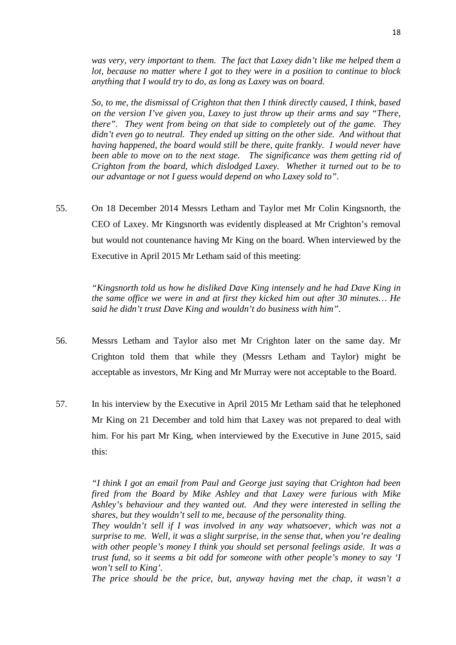*was very, very important to them. The fact that Laxey didn't like me helped them a lot, because no matter where I got to they were in a position to continue to block anything that I would try to do, as long as Laxey was on board.* 

*So, to me, the dismissal of Crighton that then I think directly caused, I think, based on the version I've given you, Laxey to just throw up their arms and say "There, there". They went from being on that side to completely out of the game. They didn't even go to neutral. They ended up sitting on the other side. And without that having happened, the board would still be there, quite frankly. I would never have been able to move on to the next stage. The significance was them getting rid of Crighton from the board, which dislodged Laxey. Whether it turned out to be to our advantage or not I guess would depend on who Laxey sold to".*

55. On 18 December 2014 Messrs Letham and Taylor met Mr Colin Kingsnorth, the CEO of Laxey. Mr Kingsnorth was evidently displeased at Mr Crighton's removal but would not countenance having Mr King on the board. When interviewed by the Executive in April 2015 Mr Letham said of this meeting:

> *"Kingsnorth told us how he disliked Dave King intensely and he had Dave King in the same office we were in and at first they kicked him out after 30 minutes… He said he didn't trust Dave King and wouldn't do business with him".*

- 56. Messrs Letham and Taylor also met Mr Crighton later on the same day. Mr Crighton told them that while they (Messrs Letham and Taylor) might be acceptable as investors, Mr King and Mr Murray were not acceptable to the Board.
- 57. In his interview by the Executive in April 2015 Mr Letham said that he telephoned Mr King on 21 December and told him that Laxey was not prepared to deal with him. For his part Mr King, when interviewed by the Executive in June 2015, said this:

*"I think I got an email from Paul and George just saying that Crighton had been fired from the Board by Mike Ashley and that Laxey were furious with Mike Ashley's behaviour and they wanted out. And they were interested in selling the shares, but they wouldn't sell to me, because of the personality thing.*

*They wouldn't sell if I was involved in any way whatsoever, which was not a surprise to me. Well, it was a slight surprise, in the sense that, when you're dealing with other people's money I think you should set personal feelings aside. It was a trust fund, so it seems a bit odd for someone with other people's money to say 'I won't sell to King'.*

*The price should be the price, but, anyway having met the chap, it wasn't a*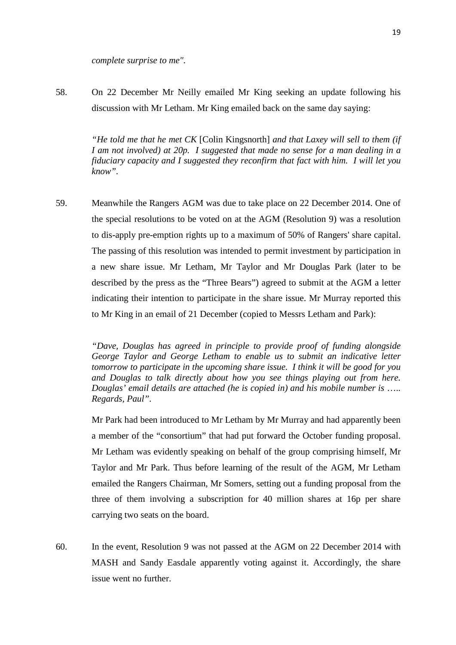*complete surprise to me".*

58. On 22 December Mr Neilly emailed Mr King seeking an update following his discussion with Mr Letham. Mr King emailed back on the same day saying:

> *"He told me that he met CK* [Colin Kingsnorth] *and that Laxey will sell to them (if I am not involved) at 20p. I suggested that made no sense for a man dealing in a fiduciary capacity and I suggested they reconfirm that fact with him. I will let you know".*

59. Meanwhile the Rangers AGM was due to take place on 22 December 2014. One of the special resolutions to be voted on at the AGM (Resolution 9) was a resolution to dis-apply pre-emption rights up to a maximum of 50% of Rangers' share capital. The passing of this resolution was intended to permit investment by participation in a new share issue. Mr Letham, Mr Taylor and Mr Douglas Park (later to be described by the press as the "Three Bears") agreed to submit at the AGM a letter indicating their intention to participate in the share issue. Mr Murray reported this to Mr King in an email of 21 December (copied to Messrs Letham and Park):

> *"Dave, Douglas has agreed in principle to provide proof of funding alongside George Taylor and George Letham to enable us to submit an indicative letter tomorrow to participate in the upcoming share issue. I think it will be good for you and Douglas to talk directly about how you see things playing out from here. Douglas' email details are attached (he is copied in) and his mobile number is* ….*. Regards, Paul".*

> Mr Park had been introduced to Mr Letham by Mr Murray and had apparently been a member of the "consortium" that had put forward the October funding proposal. Mr Letham was evidently speaking on behalf of the group comprising himself, Mr Taylor and Mr Park. Thus before learning of the result of the AGM, Mr Letham emailed the Rangers Chairman, Mr Somers, setting out a funding proposal from the three of them involving a subscription for 40 million shares at 16p per share carrying two seats on the board.

60. In the event, Resolution 9 was not passed at the AGM on 22 December 2014 with MASH and Sandy Easdale apparently voting against it. Accordingly, the share issue went no further.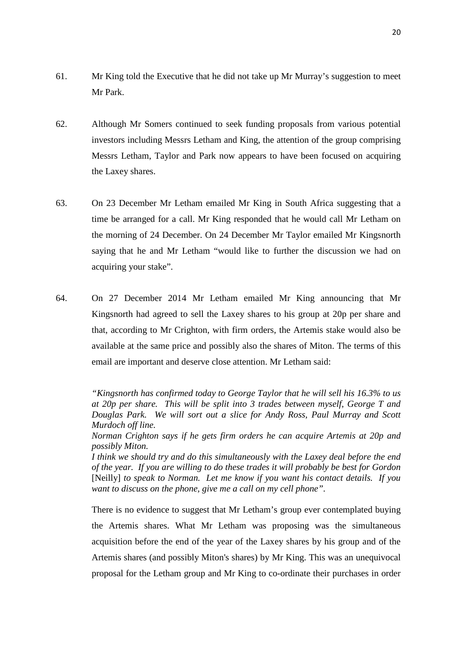- 61. Mr King told the Executive that he did not take up Mr Murray's suggestion to meet Mr Park.
- 62. Although Mr Somers continued to seek funding proposals from various potential investors including Messrs Letham and King, the attention of the group comprising Messrs Letham, Taylor and Park now appears to have been focused on acquiring the Laxey shares.
- 63. On 23 December Mr Letham emailed Mr King in South Africa suggesting that a time be arranged for a call. Mr King responded that he would call Mr Letham on the morning of 24 December. On 24 December Mr Taylor emailed Mr Kingsnorth saying that he and Mr Letham "would like to further the discussion we had on acquiring your stake".
- 64. On 27 December 2014 Mr Letham emailed Mr King announcing that Mr Kingsnorth had agreed to sell the Laxey shares to his group at 20p per share and that, according to Mr Crighton, with firm orders, the Artemis stake would also be available at the same price and possibly also the shares of Miton. The terms of this email are important and deserve close attention. Mr Letham said:

*"Kingsnorth has confirmed today to George Taylor that he will sell his 16.3% to us at 20p per share. This will be split into 3 trades between myself, George T and Douglas Park. We will sort out a slice for Andy Ross, Paul Murray and Scott Murdoch off line.*

*Norman Crighton says if he gets firm orders he can acquire Artemis at 20p and possibly Miton.*

*I think we should try and do this simultaneously with the Laxey deal before the end of the year. If you are willing to do these trades it will probably be best for Gordon*  [Neilly] *to speak to Norman. Let me know if you want his contact details. If you want to discuss on the phone, give me a call on my cell phone".*

There is no evidence to suggest that Mr Letham's group ever contemplated buying the Artemis shares. What Mr Letham was proposing was the simultaneous acquisition before the end of the year of the Laxey shares by his group and of the Artemis shares (and possibly Miton's shares) by Mr King. This was an unequivocal proposal for the Letham group and Mr King to co-ordinate their purchases in order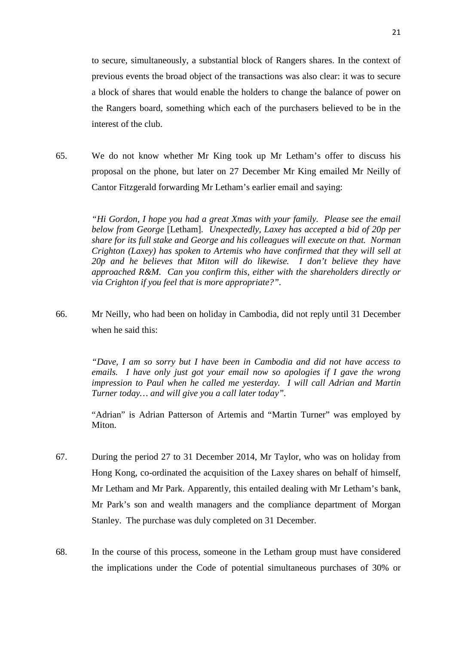to secure, simultaneously, a substantial block of Rangers shares. In the context of previous events the broad object of the transactions was also clear: it was to secure a block of shares that would enable the holders to change the balance of power on the Rangers board, something which each of the purchasers believed to be in the interest of the club.

65. We do not know whether Mr King took up Mr Letham's offer to discuss his proposal on the phone, but later on 27 December Mr King emailed Mr Neilly of Cantor Fitzgerald forwarding Mr Letham's earlier email and saying:

> *"Hi Gordon, I hope you had a great Xmas with your family. Please see the email below from George* [Letham]*. Unexpectedly, Laxey has accepted a bid of 20p per share for its full stake and George and his colleagues will execute on that. Norman Crighton (Laxey) has spoken to Artemis who have confirmed that they will sell at 20p and he believes that Miton will do likewise. I don't believe they have approached R&M. Can you confirm this, either with the shareholders directly or via Crighton if you feel that is more appropriate?".*

66. Mr Neilly, who had been on holiday in Cambodia, did not reply until 31 December when he said this:

> *"Dave, I am so sorry but I have been in Cambodia and did not have access to emails. I have only just got your email now so apologies if I gave the wrong impression to Paul when he called me yesterday. I will call Adrian and Martin Turner today… and will give you a call later today".*

> "Adrian" is Adrian Patterson of Artemis and "Martin Turner" was employed by Miton.

- 67. During the period 27 to 31 December 2014, Mr Taylor, who was on holiday from Hong Kong, co-ordinated the acquisition of the Laxey shares on behalf of himself, Mr Letham and Mr Park. Apparently, this entailed dealing with Mr Letham's bank, Mr Park's son and wealth managers and the compliance department of Morgan Stanley. The purchase was duly completed on 31 December.
- 68. In the course of this process, someone in the Letham group must have considered the implications under the Code of potential simultaneous purchases of 30% or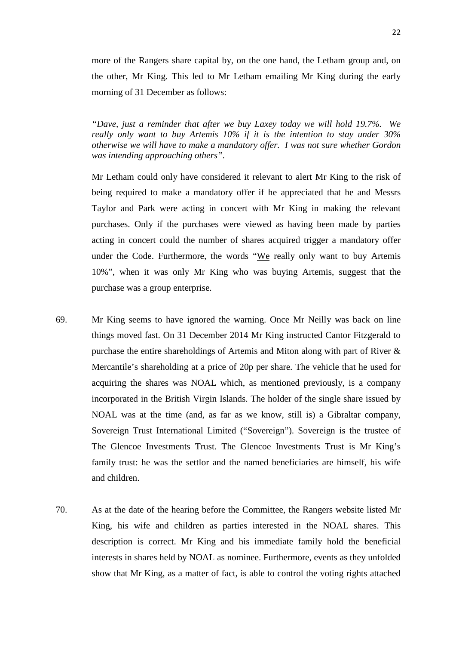more of the Rangers share capital by, on the one hand, the Letham group and, on the other, Mr King. This led to Mr Letham emailing Mr King during the early morning of 31 December as follows:

*"Dave, just a reminder that after we buy Laxey today we will hold 19.7%. We really only want to buy Artemis 10% if it is the intention to stay under 30% otherwise we will have to make a mandatory offer. I was not sure whether Gordon was intending approaching others".*

Mr Letham could only have considered it relevant to alert Mr King to the risk of being required to make a mandatory offer if he appreciated that he and Messrs Taylor and Park were acting in concert with Mr King in making the relevant purchases. Only if the purchases were viewed as having been made by parties acting in concert could the number of shares acquired trigger a mandatory offer under the Code. Furthermore, the words "We really only want to buy Artemis 10%", when it was only Mr King who was buying Artemis, suggest that the purchase was a group enterprise.

- 69. Mr King seems to have ignored the warning. Once Mr Neilly was back on line things moved fast. On 31 December 2014 Mr King instructed Cantor Fitzgerald to purchase the entire shareholdings of Artemis and Miton along with part of River & Mercantile's shareholding at a price of 20p per share. The vehicle that he used for acquiring the shares was NOAL which, as mentioned previously, is a company incorporated in the British Virgin Islands. The holder of the single share issued by NOAL was at the time (and, as far as we know, still is) a Gibraltar company, Sovereign Trust International Limited ("Sovereign"). Sovereign is the trustee of The Glencoe Investments Trust. The Glencoe Investments Trust is Mr King's family trust: he was the settlor and the named beneficiaries are himself, his wife and children.
- 70. As at the date of the hearing before the Committee, the Rangers website listed Mr King, his wife and children as parties interested in the NOAL shares. This description is correct. Mr King and his immediate family hold the beneficial interests in shares held by NOAL as nominee. Furthermore, events as they unfolded show that Mr King, as a matter of fact, is able to control the voting rights attached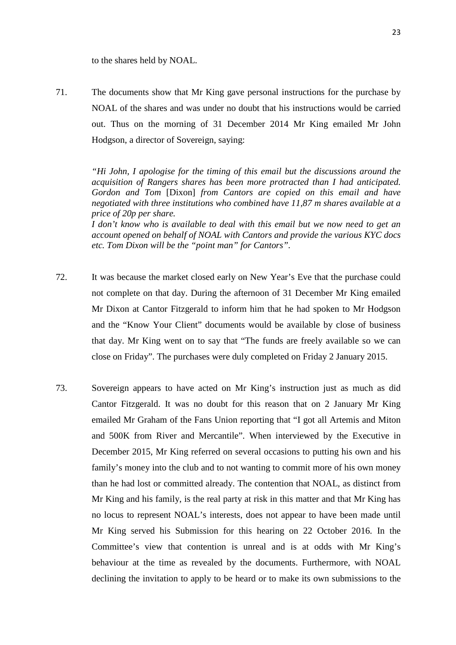to the shares held by NOAL.

71. The documents show that Mr King gave personal instructions for the purchase by NOAL of the shares and was under no doubt that his instructions would be carried out. Thus on the morning of 31 December 2014 Mr King emailed Mr John Hodgson, a director of Sovereign, saying:

> *"Hi John, I apologise for the timing of this email but the discussions around the acquisition of Rangers shares has been more protracted than I had anticipated. Gordon and Tom* [Dixon] *from Cantors are copied on this email and have negotiated with three institutions who combined have 11,87 m shares available at a price of 20p per share.*

> *I don't know who is available to deal with this email but we now need to get an account opened on behalf of NOAL with Cantors and provide the various KYC docs etc. Tom Dixon will be the "point man" for Cantors".*

- 72. It was because the market closed early on New Year's Eve that the purchase could not complete on that day. During the afternoon of 31 December Mr King emailed Mr Dixon at Cantor Fitzgerald to inform him that he had spoken to Mr Hodgson and the "Know Your Client" documents would be available by close of business that day. Mr King went on to say that "The funds are freely available so we can close on Friday". The purchases were duly completed on Friday 2 January 2015.
- 73. Sovereign appears to have acted on Mr King's instruction just as much as did Cantor Fitzgerald. It was no doubt for this reason that on 2 January Mr King emailed Mr Graham of the Fans Union reporting that "I got all Artemis and Miton and 500K from River and Mercantile". When interviewed by the Executive in December 2015, Mr King referred on several occasions to putting his own and his family's money into the club and to not wanting to commit more of his own money than he had lost or committed already. The contention that NOAL, as distinct from Mr King and his family, is the real party at risk in this matter and that Mr King has no locus to represent NOAL's interests, does not appear to have been made until Mr King served his Submission for this hearing on 22 October 2016. In the Committee's view that contention is unreal and is at odds with Mr King's behaviour at the time as revealed by the documents. Furthermore, with NOAL declining the invitation to apply to be heard or to make its own submissions to the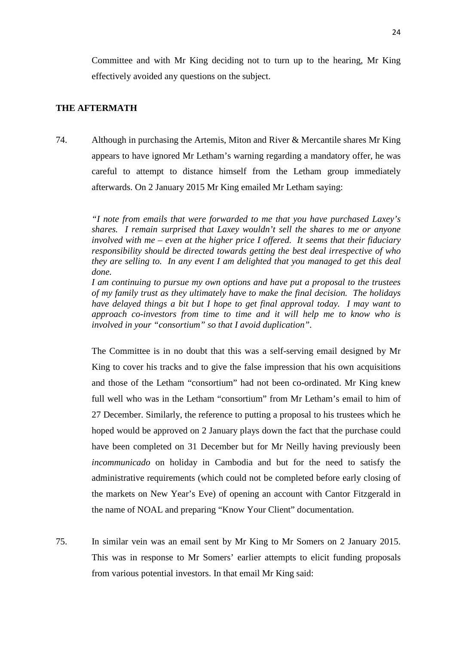Committee and with Mr King deciding not to turn up to the hearing, Mr King effectively avoided any questions on the subject.

## **THE AFTERMATH**

74. Although in purchasing the Artemis, Miton and River & Mercantile shares Mr King appears to have ignored Mr Letham's warning regarding a mandatory offer, he was careful to attempt to distance himself from the Letham group immediately afterwards. On 2 January 2015 Mr King emailed Mr Letham saying:

> *"I note from emails that were forwarded to me that you have purchased Laxey's shares. I remain surprised that Laxey wouldn't sell the shares to me or anyone involved with me – even at the higher price I offered. It seems that their fiduciary responsibility should be directed towards getting the best deal irrespective of who they are selling to. In any event I am delighted that you managed to get this deal done.*

> *I am continuing to pursue my own options and have put a proposal to the trustees of my family trust as they ultimately have to make the final decision. The holidays have delayed things a bit but I hope to get final approval today. I may want to approach co-investors from time to time and it will help me to know who is involved in your "consortium" so that I avoid duplication".*

> The Committee is in no doubt that this was a self-serving email designed by Mr King to cover his tracks and to give the false impression that his own acquisitions and those of the Letham "consortium" had not been co-ordinated. Mr King knew full well who was in the Letham "consortium" from Mr Letham's email to him of 27 December. Similarly, the reference to putting a proposal to his trustees which he hoped would be approved on 2 January plays down the fact that the purchase could have been completed on 31 December but for Mr Neilly having previously been *incommunicado* on holiday in Cambodia and but for the need to satisfy the administrative requirements (which could not be completed before early closing of the markets on New Year's Eve) of opening an account with Cantor Fitzgerald in the name of NOAL and preparing "Know Your Client" documentation.

75. In similar vein was an email sent by Mr King to Mr Somers on 2 January 2015. This was in response to Mr Somers' earlier attempts to elicit funding proposals from various potential investors. In that email Mr King said: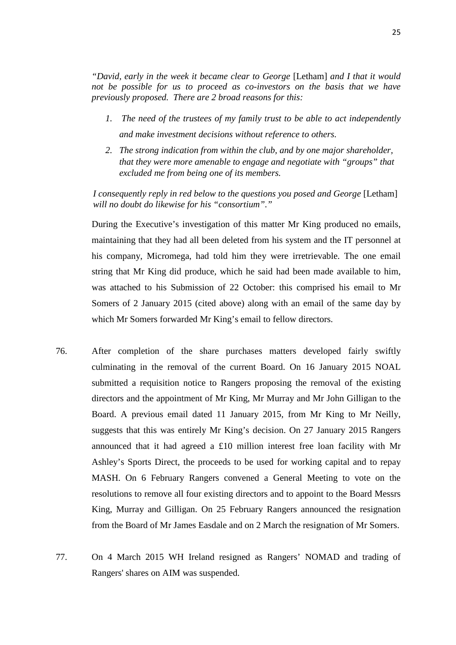*"David, early in the week it became clear to George* [Letham] *and I that it would not be possible for us to proceed as co-investors on the basis that we have previously proposed. There are 2 broad reasons for this:*

- *1. The need of the trustees of my family trust to be able to act independently and make investment decisions without reference to others.*
- *2. The strong indication from within the club, and by one major shareholder, that they were more amenable to engage and negotiate with "groups" that excluded me from being one of its members.*

*I consequently reply in red below to the questions you posed and George* [Letham] *will no doubt do likewise for his "consortium"."*

During the Executive's investigation of this matter Mr King produced no emails, maintaining that they had all been deleted from his system and the IT personnel at his company, Micromega, had told him they were irretrievable. The one email string that Mr King did produce, which he said had been made available to him, was attached to his Submission of 22 October: this comprised his email to Mr Somers of 2 January 2015 (cited above) along with an email of the same day by which Mr Somers forwarded Mr King's email to fellow directors.

- 76. After completion of the share purchases matters developed fairly swiftly culminating in the removal of the current Board. On 16 January 2015 NOAL submitted a requisition notice to Rangers proposing the removal of the existing directors and the appointment of Mr King, Mr Murray and Mr John Gilligan to the Board. A previous email dated 11 January 2015, from Mr King to Mr Neilly, suggests that this was entirely Mr King's decision. On 27 January 2015 Rangers announced that it had agreed a £10 million interest free loan facility with Mr Ashley's Sports Direct, the proceeds to be used for working capital and to repay MASH. On 6 February Rangers convened a General Meeting to vote on the resolutions to remove all four existing directors and to appoint to the Board Messrs King, Murray and Gilligan. On 25 February Rangers announced the resignation from the Board of Mr James Easdale and on 2 March the resignation of Mr Somers.
- 77. On 4 March 2015 WH Ireland resigned as Rangers' NOMAD and trading of Rangers' shares on AIM was suspended.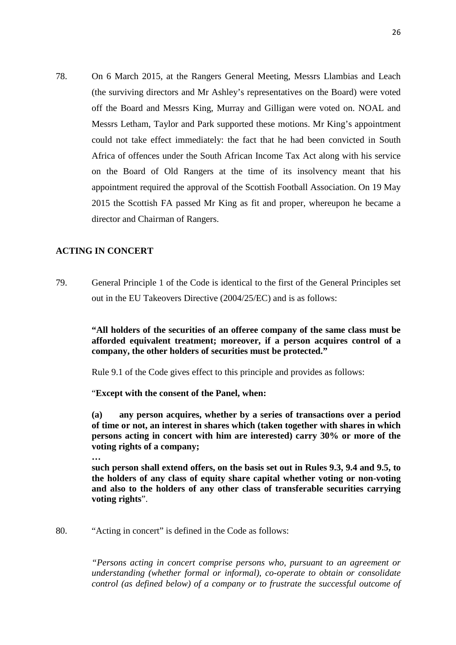78. On 6 March 2015, at the Rangers General Meeting, Messrs Llambias and Leach (the surviving directors and Mr Ashley's representatives on the Board) were voted off the Board and Messrs King, Murray and Gilligan were voted on. NOAL and Messrs Letham, Taylor and Park supported these motions. Mr King's appointment could not take effect immediately: the fact that he had been convicted in South Africa of offences under the South African Income Tax Act along with his service on the Board of Old Rangers at the time of its insolvency meant that his appointment required the approval of the Scottish Football Association. On 19 May 2015 the Scottish FA passed Mr King as fit and proper, whereupon he became a director and Chairman of Rangers.

## **ACTING IN CONCERT**

79. General Principle 1 of the Code is identical to the first of the General Principles set out in the EU Takeovers Directive (2004/25/EC) and is as follows:

> **"All holders of the securities of an offeree company of the same class must be afforded equivalent treatment; moreover, if a person acquires control of a company, the other holders of securities must be protected."**

Rule 9.1 of the Code gives effect to this principle and provides as follows:

"**Except with the consent of the Panel, when:**

**(a) any person acquires, whether by a series of transactions over a period of time or not, an interest in shares which (taken together with shares in which persons acting in concert with him are interested) carry 30% or more of the voting rights of a company;**

**…**

**such person shall extend offers, on the basis set out in Rules 9.3, 9.4 and 9.5, to the holders of any class of equity share capital whether voting or non-voting and also to the holders of any other class of transferable securities carrying voting rights**".

80. "Acting in concert" is defined in the Code as follows:

*"Persons acting in concert comprise persons who, pursuant to an agreement or understanding (whether formal or informal), co-operate to obtain or consolidate control (as defined below) of a company or to frustrate the successful outcome of*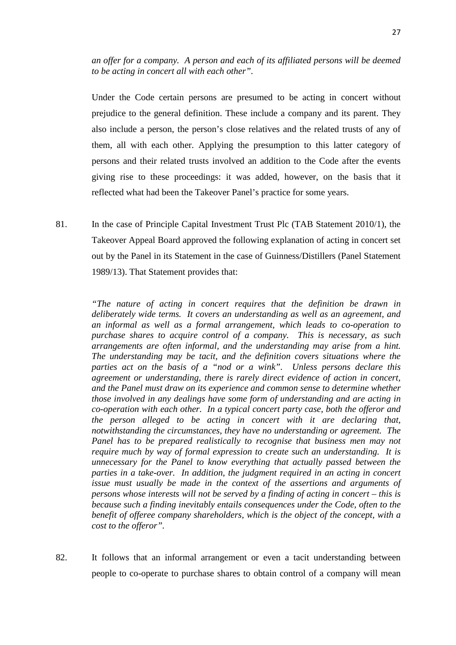*an offer for a company. A person and each of its affiliated persons will be deemed to be acting in concert all with each other".*

Under the Code certain persons are presumed to be acting in concert without prejudice to the general definition. These include a company and its parent. They also include a person, the person's close relatives and the related trusts of any of them, all with each other. Applying the presumption to this latter category of persons and their related trusts involved an addition to the Code after the events giving rise to these proceedings: it was added, however, on the basis that it reflected what had been the Takeover Panel's practice for some years.

81. In the case of Principle Capital Investment Trust Plc (TAB Statement 2010/1), the Takeover Appeal Board approved the following explanation of acting in concert set out by the Panel in its Statement in the case of Guinness/Distillers (Panel Statement 1989/13). That Statement provides that:

> *"The nature of acting in concert requires that the definition be drawn in deliberately wide terms. It covers an understanding as well as an agreement, and an informal as well as a formal arrangement, which leads to co-operation to purchase shares to acquire control of a company. This is necessary, as such arrangements are often informal, and the understanding may arise from a hint. The understanding may be tacit, and the definition covers situations where the parties act on the basis of a "nod or a wink". Unless persons declare this agreement or understanding, there is rarely direct evidence of action in concert, and the Panel must draw on its experience and common sense to determine whether those involved in any dealings have some form of understanding and are acting in co-operation with each other. In a typical concert party case, both the offeror and the person alleged to be acting in concert with it are declaring that, notwithstanding the circumstances, they have no understanding or agreement. The Panel has to be prepared realistically to recognise that business men may not require much by way of formal expression to create such an understanding. It is unnecessary for the Panel to know everything that actually passed between the parties in a take-over. In addition, the judgment required in an acting in concert issue must usually be made in the context of the assertions and arguments of persons whose interests will not be served by a finding of acting in concert – this is because such a finding inevitably entails consequences under the Code, often to the benefit of offeree company shareholders, which is the object of the concept, with a cost to the offeror".*

82. It follows that an informal arrangement or even a tacit understanding between people to co-operate to purchase shares to obtain control of a company will mean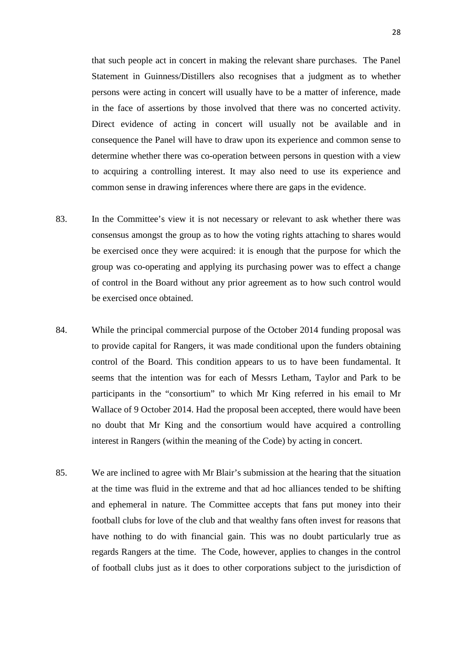that such people act in concert in making the relevant share purchases. The Panel Statement in Guinness/Distillers also recognises that a judgment as to whether persons were acting in concert will usually have to be a matter of inference, made in the face of assertions by those involved that there was no concerted activity. Direct evidence of acting in concert will usually not be available and in consequence the Panel will have to draw upon its experience and common sense to determine whether there was co-operation between persons in question with a view to acquiring a controlling interest. It may also need to use its experience and common sense in drawing inferences where there are gaps in the evidence.

- 83. In the Committee's view it is not necessary or relevant to ask whether there was consensus amongst the group as to how the voting rights attaching to shares would be exercised once they were acquired: it is enough that the purpose for which the group was co-operating and applying its purchasing power was to effect a change of control in the Board without any prior agreement as to how such control would be exercised once obtained.
- 84. While the principal commercial purpose of the October 2014 funding proposal was to provide capital for Rangers, it was made conditional upon the funders obtaining control of the Board. This condition appears to us to have been fundamental. It seems that the intention was for each of Messrs Letham, Taylor and Park to be participants in the "consortium" to which Mr King referred in his email to Mr Wallace of 9 October 2014. Had the proposal been accepted, there would have been no doubt that Mr King and the consortium would have acquired a controlling interest in Rangers (within the meaning of the Code) by acting in concert.
- 85. We are inclined to agree with Mr Blair's submission at the hearing that the situation at the time was fluid in the extreme and that ad hoc alliances tended to be shifting and ephemeral in nature. The Committee accepts that fans put money into their football clubs for love of the club and that wealthy fans often invest for reasons that have nothing to do with financial gain. This was no doubt particularly true as regards Rangers at the time. The Code, however, applies to changes in the control of football clubs just as it does to other corporations subject to the jurisdiction of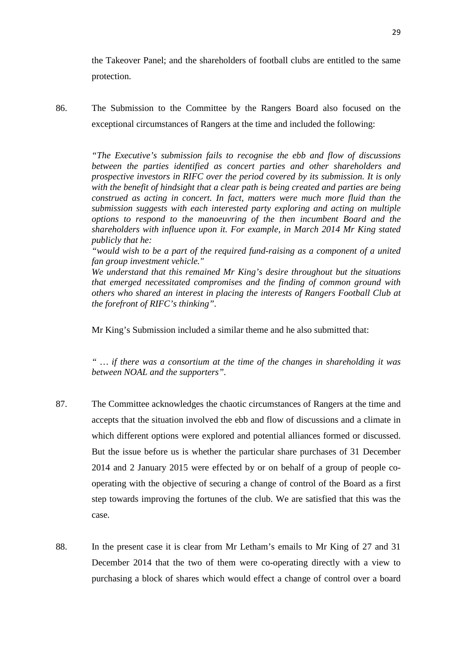the Takeover Panel; and the shareholders of football clubs are entitled to the same protection.

86. The Submission to the Committee by the Rangers Board also focused on the exceptional circumstances of Rangers at the time and included the following:

> *"The Executive's submission fails to recognise the ebb and flow of discussions between the parties identified as concert parties and other shareholders and prospective investors in RIFC over the period covered by its submission. It is only with the benefit of hindsight that a clear path is being created and parties are being construed as acting in concert. In fact, matters were much more fluid than the submission suggests with each interested party exploring and acting on multiple options to respond to the manoeuvring of the then incumbent Board and the shareholders with influence upon it. For example, in March 2014 Mr King stated publicly that he:*

> *"would wish to be a part of the required fund-raising as a component of a united fan group investment vehicle."*

> *We understand that this remained Mr King's desire throughout but the situations that emerged necessitated compromises and the finding of common ground with others who shared an interest in placing the interests of Rangers Football Club at the forefront of RIFC's thinking".*

Mr King's Submission included a similar theme and he also submitted that:

*" … if there was a consortium at the time of the changes in shareholding it was between NOAL and the supporters".*

- 87. The Committee acknowledges the chaotic circumstances of Rangers at the time and accepts that the situation involved the ebb and flow of discussions and a climate in which different options were explored and potential alliances formed or discussed. But the issue before us is whether the particular share purchases of 31 December 2014 and 2 January 2015 were effected by or on behalf of a group of people cooperating with the objective of securing a change of control of the Board as a first step towards improving the fortunes of the club. We are satisfied that this was the case.
- 88. In the present case it is clear from Mr Letham's emails to Mr King of 27 and 31 December 2014 that the two of them were co-operating directly with a view to purchasing a block of shares which would effect a change of control over a board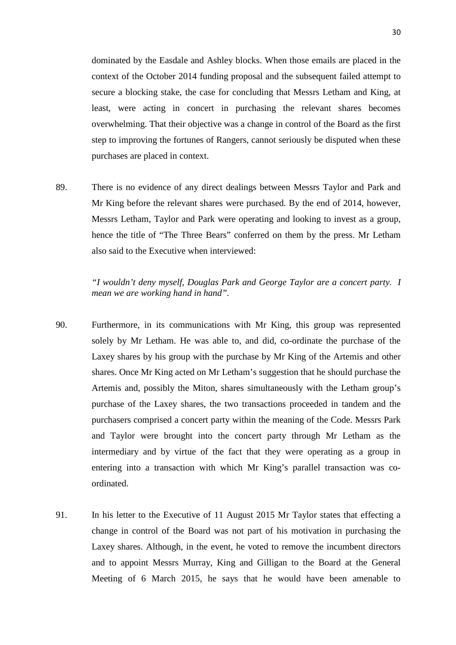dominated by the Easdale and Ashley blocks. When those emails are placed in the context of the October 2014 funding proposal and the subsequent failed attempt to secure a blocking stake, the case for concluding that Messrs Letham and King, at least, were acting in concert in purchasing the relevant shares becomes overwhelming. That their objective was a change in control of the Board as the first step to improving the fortunes of Rangers, cannot seriously be disputed when these purchases are placed in context.

89. There is no evidence of any direct dealings between Messrs Taylor and Park and Mr King before the relevant shares were purchased. By the end of 2014, however, Messrs Letham, Taylor and Park were operating and looking to invest as a group, hence the title of "The Three Bears" conferred on them by the press. Mr Letham also said to the Executive when interviewed:

> *"I wouldn't deny myself, Douglas Park and George Taylor are a concert party. I mean we are working hand in hand".*

- 90. Furthermore, in its communications with Mr King, this group was represented solely by Mr Letham. He was able to, and did, co-ordinate the purchase of the Laxey shares by his group with the purchase by Mr King of the Artemis and other shares. Once Mr King acted on Mr Letham's suggestion that he should purchase the Artemis and, possibly the Miton, shares simultaneously with the Letham group's purchase of the Laxey shares, the two transactions proceeded in tandem and the purchasers comprised a concert party within the meaning of the Code. Messrs Park and Taylor were brought into the concert party through Mr Letham as the intermediary and by virtue of the fact that they were operating as a group in entering into a transaction with which Mr King's parallel transaction was coordinated.
- 91. In his letter to the Executive of 11 August 2015 Mr Taylor states that effecting a change in control of the Board was not part of his motivation in purchasing the Laxey shares. Although, in the event, he voted to remove the incumbent directors and to appoint Messrs Murray, King and Gilligan to the Board at the General Meeting of 6 March 2015, he says that he would have been amenable to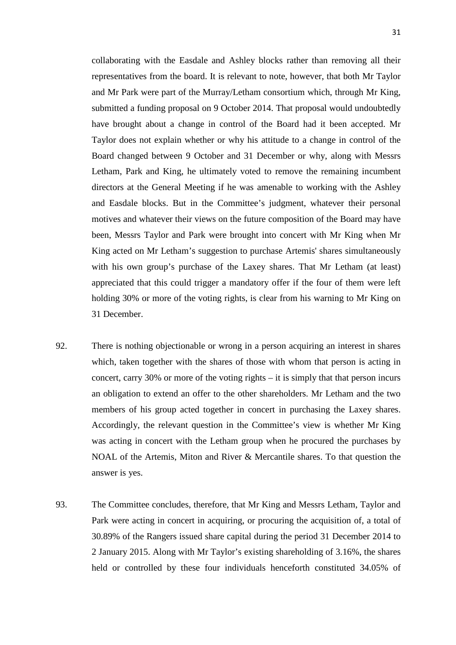collaborating with the Easdale and Ashley blocks rather than removing all their representatives from the board. It is relevant to note, however, that both Mr Taylor and Mr Park were part of the Murray/Letham consortium which, through Mr King, submitted a funding proposal on 9 October 2014. That proposal would undoubtedly have brought about a change in control of the Board had it been accepted. Mr Taylor does not explain whether or why his attitude to a change in control of the Board changed between 9 October and 31 December or why, along with Messrs Letham, Park and King, he ultimately voted to remove the remaining incumbent directors at the General Meeting if he was amenable to working with the Ashley and Easdale blocks. But in the Committee's judgment, whatever their personal motives and whatever their views on the future composition of the Board may have been, Messrs Taylor and Park were brought into concert with Mr King when Mr King acted on Mr Letham's suggestion to purchase Artemis' shares simultaneously with his own group's purchase of the Laxey shares. That Mr Letham (at least) appreciated that this could trigger a mandatory offer if the four of them were left holding 30% or more of the voting rights, is clear from his warning to Mr King on 31 December.

- 92. There is nothing objectionable or wrong in a person acquiring an interest in shares which, taken together with the shares of those with whom that person is acting in concert, carry 30% or more of the voting rights – it is simply that that person incurs an obligation to extend an offer to the other shareholders. Mr Letham and the two members of his group acted together in concert in purchasing the Laxey shares. Accordingly, the relevant question in the Committee's view is whether Mr King was acting in concert with the Letham group when he procured the purchases by NOAL of the Artemis, Miton and River & Mercantile shares. To that question the answer is yes.
- 93. The Committee concludes, therefore, that Mr King and Messrs Letham, Taylor and Park were acting in concert in acquiring, or procuring the acquisition of, a total of 30.89% of the Rangers issued share capital during the period 31 December 2014 to 2 January 2015. Along with Mr Taylor's existing shareholding of 3.16%, the shares held or controlled by these four individuals henceforth constituted 34.05% of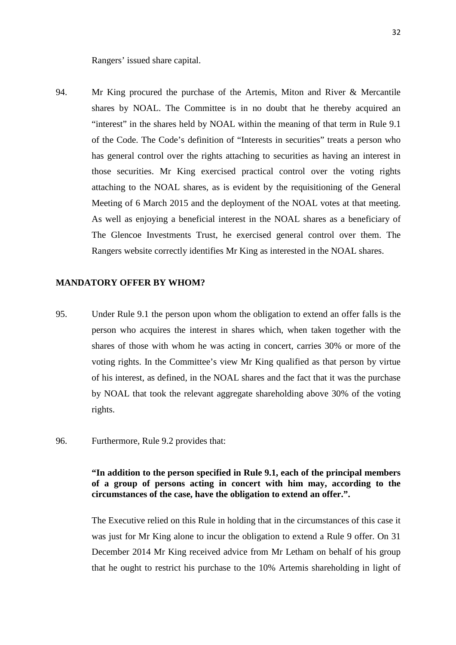Rangers' issued share capital.

94. Mr King procured the purchase of the Artemis, Miton and River & Mercantile shares by NOAL. The Committee is in no doubt that he thereby acquired an "interest" in the shares held by NOAL within the meaning of that term in Rule 9.1 of the Code. The Code's definition of "Interests in securities" treats a person who has general control over the rights attaching to securities as having an interest in those securities. Mr King exercised practical control over the voting rights attaching to the NOAL shares, as is evident by the requisitioning of the General Meeting of 6 March 2015 and the deployment of the NOAL votes at that meeting. As well as enjoying a beneficial interest in the NOAL shares as a beneficiary of The Glencoe Investments Trust, he exercised general control over them. The Rangers website correctly identifies Mr King as interested in the NOAL shares.

### **MANDATORY OFFER BY WHOM?**

- 95. Under Rule 9.1 the person upon whom the obligation to extend an offer falls is the person who acquires the interest in shares which, when taken together with the shares of those with whom he was acting in concert, carries 30% or more of the voting rights. In the Committee's view Mr King qualified as that person by virtue of his interest, as defined, in the NOAL shares and the fact that it was the purchase by NOAL that took the relevant aggregate shareholding above 30% of the voting rights.
- 96. Furthermore, Rule 9.2 provides that:

## **"In addition to the person specified in Rule 9.1, each of the principal members of a group of persons acting in concert with him may, according to the circumstances of the case, have the obligation to extend an offer.".**

The Executive relied on this Rule in holding that in the circumstances of this case it was just for Mr King alone to incur the obligation to extend a Rule 9 offer. On 31 December 2014 Mr King received advice from Mr Letham on behalf of his group that he ought to restrict his purchase to the 10% Artemis shareholding in light of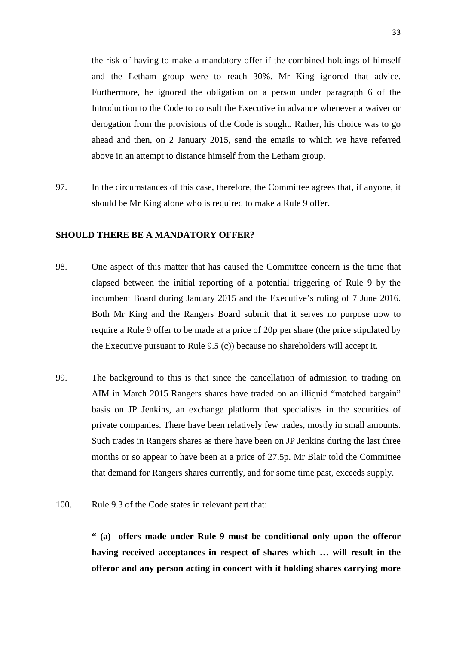the risk of having to make a mandatory offer if the combined holdings of himself and the Letham group were to reach 30%. Mr King ignored that advice. Furthermore, he ignored the obligation on a person under paragraph 6 of the Introduction to the Code to consult the Executive in advance whenever a waiver or derogation from the provisions of the Code is sought. Rather, his choice was to go ahead and then, on 2 January 2015, send the emails to which we have referred above in an attempt to distance himself from the Letham group.

97. In the circumstances of this case, therefore, the Committee agrees that, if anyone, it should be Mr King alone who is required to make a Rule 9 offer.

## **SHOULD THERE BE A MANDATORY OFFER?**

- 98. One aspect of this matter that has caused the Committee concern is the time that elapsed between the initial reporting of a potential triggering of Rule 9 by the incumbent Board during January 2015 and the Executive's ruling of 7 June 2016. Both Mr King and the Rangers Board submit that it serves no purpose now to require a Rule 9 offer to be made at a price of 20p per share (the price stipulated by the Executive pursuant to Rule 9.5 (c)) because no shareholders will accept it.
- 99. The background to this is that since the cancellation of admission to trading on AIM in March 2015 Rangers shares have traded on an illiquid "matched bargain" basis on JP Jenkins, an exchange platform that specialises in the securities of private companies. There have been relatively few trades, mostly in small amounts. Such trades in Rangers shares as there have been on JP Jenkins during the last three months or so appear to have been at a price of 27.5p. Mr Blair told the Committee that demand for Rangers shares currently, and for some time past, exceeds supply.
- 100. Rule 9.3 of the Code states in relevant part that:

**" (a) offers made under Rule 9 must be conditional only upon the offeror having received acceptances in respect of shares which … will result in the offeror and any person acting in concert with it holding shares carrying more**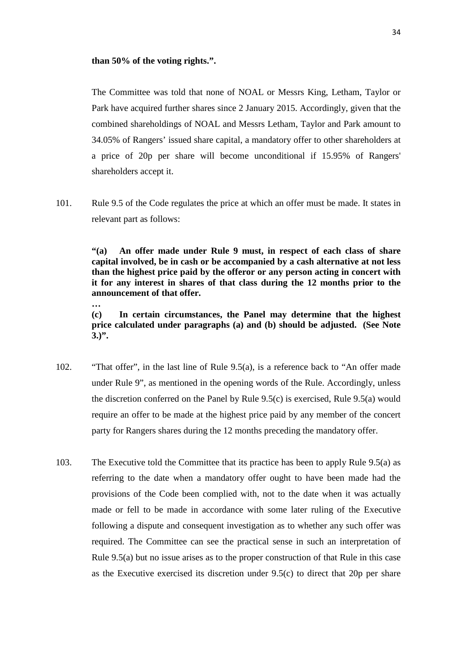#### **than 50% of the voting rights.".**

**…**

The Committee was told that none of NOAL or Messrs King, Letham, Taylor or Park have acquired further shares since 2 January 2015. Accordingly, given that the combined shareholdings of NOAL and Messrs Letham, Taylor and Park amount to 34.05% of Rangers' issued share capital, a mandatory offer to other shareholders at a price of 20p per share will become unconditional if 15.95% of Rangers' shareholders accept it.

101. Rule 9.5 of the Code regulates the price at which an offer must be made. It states in relevant part as follows:

> **"(a) An offer made under Rule 9 must, in respect of each class of share capital involved, be in cash or be accompanied by a cash alternative at not less than the highest price paid by the offeror or any person acting in concert with it for any interest in shares of that class during the 12 months prior to the announcement of that offer.**

> **(c) In certain circumstances, the Panel may determine that the highest price calculated under paragraphs (a) and (b) should be adjusted. (See Note 3.)".**

- 102. "That offer", in the last line of Rule 9.5(a), is a reference back to "An offer made under Rule 9", as mentioned in the opening words of the Rule. Accordingly, unless the discretion conferred on the Panel by Rule 9.5(c) is exercised, Rule 9.5(a) would require an offer to be made at the highest price paid by any member of the concert party for Rangers shares during the 12 months preceding the mandatory offer.
- 103. The Executive told the Committee that its practice has been to apply Rule 9.5(a) as referring to the date when a mandatory offer ought to have been made had the provisions of the Code been complied with, not to the date when it was actually made or fell to be made in accordance with some later ruling of the Executive following a dispute and consequent investigation as to whether any such offer was required. The Committee can see the practical sense in such an interpretation of Rule 9.5(a) but no issue arises as to the proper construction of that Rule in this case as the Executive exercised its discretion under 9.5(c) to direct that 20p per share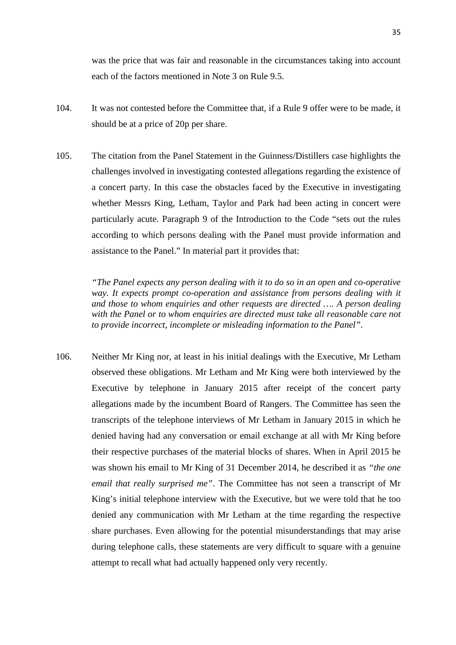was the price that was fair and reasonable in the circumstances taking into account each of the factors mentioned in Note 3 on Rule 9.5.

- 104. It was not contested before the Committee that, if a Rule 9 offer were to be made, it should be at a price of 20p per share.
- 105. The citation from the Panel Statement in the Guinness/Distillers case highlights the challenges involved in investigating contested allegations regarding the existence of a concert party. In this case the obstacles faced by the Executive in investigating whether Messrs King, Letham, Taylor and Park had been acting in concert were particularly acute. Paragraph 9 of the Introduction to the Code "sets out the rules according to which persons dealing with the Panel must provide information and assistance to the Panel." In material part it provides that:

*"The Panel expects any person dealing with it to do so in an open and co-operative way. It expects prompt co-operation and assistance from persons dealing with it and those to whom enquiries and other requests are directed …. A person dealing with the Panel or to whom enquiries are directed must take all reasonable care not to provide incorrect, incomplete or misleading information to the Panel".*

106. Neither Mr King nor, at least in his initial dealings with the Executive, Mr Letham observed these obligations. Mr Letham and Mr King were both interviewed by the Executive by telephone in January 2015 after receipt of the concert party allegations made by the incumbent Board of Rangers. The Committee has seen the transcripts of the telephone interviews of Mr Letham in January 2015 in which he denied having had any conversation or email exchange at all with Mr King before their respective purchases of the material blocks of shares. When in April 2015 he was shown his email to Mr King of 31 December 2014, he described it as *"the one email that really surprised me"*. The Committee has not seen a transcript of Mr King's initial telephone interview with the Executive, but we were told that he too denied any communication with Mr Letham at the time regarding the respective share purchases. Even allowing for the potential misunderstandings that may arise during telephone calls, these statements are very difficult to square with a genuine attempt to recall what had actually happened only very recently.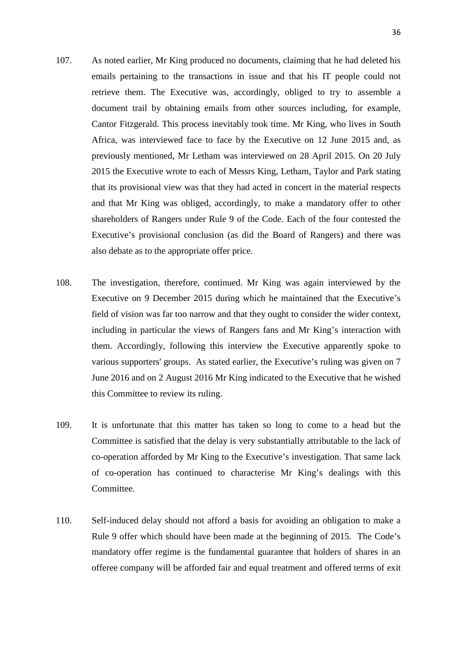- 107. As noted earlier, Mr King produced no documents, claiming that he had deleted his emails pertaining to the transactions in issue and that his IT people could not retrieve them. The Executive was, accordingly, obliged to try to assemble a document trail by obtaining emails from other sources including, for example, Cantor Fitzgerald. This process inevitably took time. Mr King, who lives in South Africa, was interviewed face to face by the Executive on 12 June 2015 and, as previously mentioned, Mr Letham was interviewed on 28 April 2015. On 20 July 2015 the Executive wrote to each of Messrs King, Letham, Taylor and Park stating that its provisional view was that they had acted in concert in the material respects and that Mr King was obliged, accordingly, to make a mandatory offer to other shareholders of Rangers under Rule 9 of the Code. Each of the four contested the Executive's provisional conclusion (as did the Board of Rangers) and there was also debate as to the appropriate offer price.
- 108. The investigation, therefore, continued. Mr King was again interviewed by the Executive on 9 December 2015 during which he maintained that the Executive's field of vision was far too narrow and that they ought to consider the wider context, including in particular the views of Rangers fans and Mr King's interaction with them. Accordingly, following this interview the Executive apparently spoke to various supporters' groups. As stated earlier, the Executive's ruling was given on 7 June 2016 and on 2 August 2016 Mr King indicated to the Executive that he wished this Committee to review its ruling.
- 109. It is unfortunate that this matter has taken so long to come to a head but the Committee is satisfied that the delay is very substantially attributable to the lack of co-operation afforded by Mr King to the Executive's investigation. That same lack of co-operation has continued to characterise Mr King's dealings with this Committee.
- 110. Self-induced delay should not afford a basis for avoiding an obligation to make a Rule 9 offer which should have been made at the beginning of 2015. The Code's mandatory offer regime is the fundamental guarantee that holders of shares in an offeree company will be afforded fair and equal treatment and offered terms of exit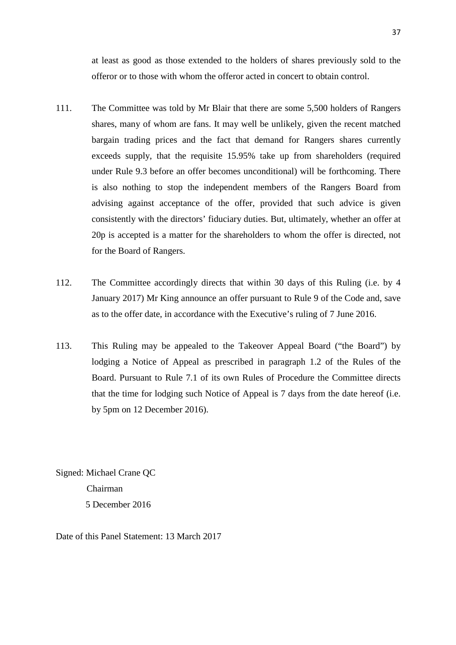at least as good as those extended to the holders of shares previously sold to the offeror or to those with whom the offeror acted in concert to obtain control.

- 111. The Committee was told by Mr Blair that there are some 5,500 holders of Rangers shares, many of whom are fans. It may well be unlikely, given the recent matched bargain trading prices and the fact that demand for Rangers shares currently exceeds supply, that the requisite 15.95% take up from shareholders (required under Rule 9.3 before an offer becomes unconditional) will be forthcoming. There is also nothing to stop the independent members of the Rangers Board from advising against acceptance of the offer, provided that such advice is given consistently with the directors' fiduciary duties. But, ultimately, whether an offer at 20p is accepted is a matter for the shareholders to whom the offer is directed, not for the Board of Rangers.
- 112. The Committee accordingly directs that within 30 days of this Ruling (i.e. by 4 January 2017) Mr King announce an offer pursuant to Rule 9 of the Code and, save as to the offer date, in accordance with the Executive's ruling of 7 June 2016.
- 113. This Ruling may be appealed to the Takeover Appeal Board ("the Board") by lodging a Notice of Appeal as prescribed in paragraph 1.2 of the Rules of the Board. Pursuant to Rule 7.1 of its own Rules of Procedure the Committee directs that the time for lodging such Notice of Appeal is 7 days from the date hereof (i.e. by 5pm on 12 December 2016).

Signed: Michael Crane QC Chairman 5 December 2016

Date of this Panel Statement: 13 March 2017